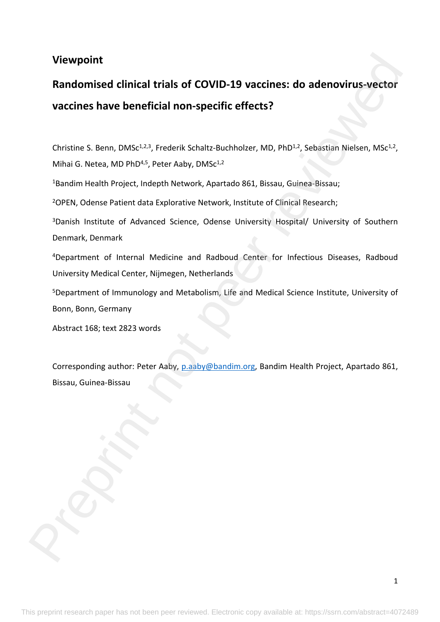# **Viewpoint**

# **Randomised clinical trials of COVID-19 vaccines: do adenovirus-vector vaccines have beneficial non-specific effects?**  Viewpoint<br>Randomised clinical trials of COVID-19 vaccines: do ade[no](mailto:p.aaby@bandim.org)virus-vector<br>vaccines have beneficial non-specific effects?<br>Christine 5. Benn, DMS<sup>2:31</sup>, Frederik Schult: Buchholer, MD, PhD<sup>31</sup>, Sebasian Nielsen, MSc<sup>13</sup>

Christine S. Benn, DMSc<sup>1,2,3</sup>, Frederik Schaltz-Buchholzer, MD, PhD<sup>1,2</sup>, Sebastian Nielsen, MSc<sup>1,2</sup>, Mihai G. Netea, MD PhD<sup>4,5</sup>, Peter Aaby, DMSc<sup>1,2</sup>

<sup>1</sup>Bandim Health Project, Indepth Network, Apartado 861, Bissau, Guinea-Bissau;

<sup>2</sup>OPEN, Odense Patient data Explorative Network, Institute of Clinical Research;

<sup>3</sup>Danish Institute of Advanced Science, Odense University Hospital/ University of Southern Denmark, Denmark

<sup>4</sup>Department of Internal Medicine and Radboud Center for Infectious Diseases, Radboud University Medical Center, Nijmegen, Netherlands

<sup>5</sup>Department of Immunology and Metabolism, Life and Medical Science Institute, University of Bonn, Bonn, Germany

Abstract 168; text 2823 words

Corresponding author: Peter Aaby, p.aaby@bandim.org, Bandim Health Project, Apartado 861, Bissau, Guinea-Bissau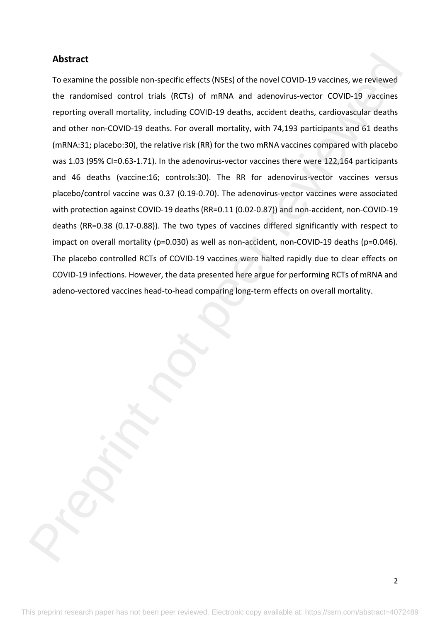# **Abstract**

To examine the possible non-specific effects (NSEs) of the novel COVID-19 vaccines, we reviewed the randomised control trials (RCTs) of mRNA and adenovirus-vector COVID-19 vaccines reporting overall mortality, including COVID-19 deaths, accident deaths, cardiovascular deaths and other non-COVID-19 deaths. For overall mortality, with 74,193 participants and 61 deaths (mRNA:31; placebo:30), the relative risk (RR) for the two mRNA vaccines compared with placebo was 1.03 (95% CI=0.63-1.71). In the adenovirus-vector vaccines there were 122,164 participants and 46 deaths (vaccine:16; controls:30). The RR for adenovirus-vector vaccines versus placebo/control vaccine was 0.37 (0.19-0.70). The adenovirus-vector vaccines were associated with protection against COVID-19 deaths (RR=0.11 (0.02-0.87)) and non-accident, non-COVID-19 deaths (RR=0.38 (0.17-0.88)). The two types of vaccines differed significantly with respect to impact on overall mortality (p=0.030) as well as non-accident, non-COVID-19 deaths (p=0.046). The placebo controlled RCTs of COVID-19 vaccines were halted rapidly due to clear effects on COVID-19 infections. However, the data presented here argue for performing RCTs of mRNA and adeno-vectored vaccines head-to-head comparing long-term effects on overall mortality. Abstract<br>To examine the porsible non-specific effects (NSEs) of the novel COVID-19 vaccines, we reviewed<br>the randomised control trials (RCTs) of mRNA and adenovirus-vector COVID-19 vaccines<br>reporting overall mortality, inc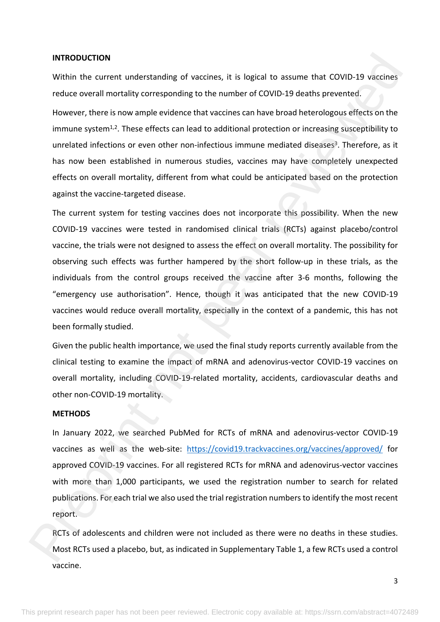### **INTRODUCTION**

Within the current understanding of vaccines, it is logical to assume that COVID-19 vaccines reduce overall mortality corresponding to the number of COVID-19 deaths prevented.

However, there is now ample evidence that vaccines can have broad heterologous effects on the immune system<sup>1,2</sup>. These effects can lead to additional protection or increasing susceptibility to unrelated infections or even other non-infectious immune mediated diseases<sup>3</sup>. Therefore, as it has now been established in numerous studies, vaccines may have completely unexpected effects on overall mortality, different from what could be anticipated based on the protection against the vaccine-targeted disease.

The current system for testing vaccines does not incorporate this possibility. When the new COVID-19 vaccines were tested in randomised clinical trials (RCTs) against placebo/control vaccine, the trials were not designed to assess the effect on overall mortality. The possibility for observing such effects was further hampered by the short follow-up in these trials, as the individuals from the control groups received the vaccine after 3-6 months, following the "emergency use authorisation". Hence, though it was anticipated that the new COVID-19 vaccines would reduce overall mortality, especially in the context of a pandemic, this has not been formally studied. INTRODUCTION<br>While the current understanding of vaccines, it is logical to assume that COVID-19 vaccines<br>reduce overall mostality corresponding to the number of COVID-19 deaths prevented.<br>However, there is now ample evide

Given the public health importance, we used the final study reports currently available from the clinical testing to examine the impact of mRNA and adenovirus-vector COVID-19 vaccines on overall mortality, including COVID-19-related mortality, accidents, cardiovascular deaths and other non-COVID-19 mortality.

### **METHODS**

In January 2022, we searched PubMed for RCTs of mRNA and adenovirus-vector COVID-19 vaccines as well as the web-site: https://covid19.trackvaccines.org/vaccines/approved/ for approved COVID-19 vaccines. For all registered RCTs for mRNA and adenovirus-vector vaccines with more than 1,000 participants, we used the registration number to search for related publications. For each trial we also used the trial registration numbers to identify the most recent report.

RCTs of adolescents and children were not included as there were no deaths in these studies. Most RCTs used a placebo, but, as indicated in Supplementary Table 1, a few RCTs used a control vaccine.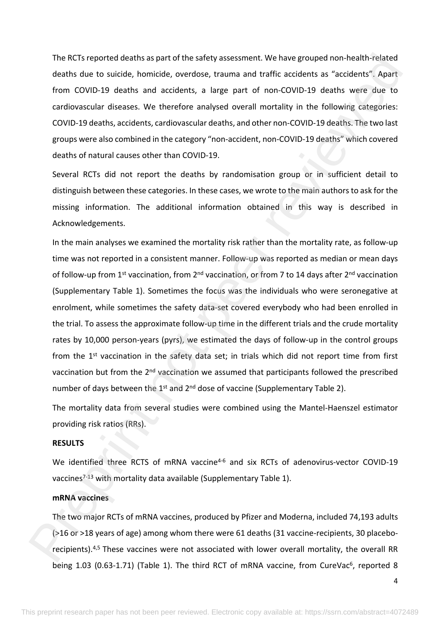The RCTs reported deaths as part of the safety assessment. We have grouped non-health-related deaths due to suicide, homicide, overdose, trauma and traffic accidents as "accidents". Apart from COVID-19 deaths and accidents, a large part of non-COVID-19 deaths were due to cardiovascular diseases. We therefore analysed overall mortality in the following categories: COVID-19 deaths, accidents, cardiovascular deaths, and other non-COVID-19 deaths. The two last groups were also combined in the category "non-accident, non-COVID-19 deaths" which covered deaths of natural causes other than COVID-19.

Several RCTs did not report the deaths by randomisation group or in sufficient detail to distinguish between these categories. In these cases, we wrote to the main authors to ask for the missing information. The additional information obtained in this way is described in Acknowledgements.

In the main analyses we examined the mortality risk rather than the mortality rate, as follow-up time was not reported in a consistent manner. Follow-up was reported as median or mean days of follow-up from 1<sup>st</sup> vaccination, from 2<sup>nd</sup> vaccination, or from 7 to 14 days after 2<sup>nd</sup> vaccination (Supplementary Table 1). Sometimes the focus was the individuals who were seronegative at enrolment, while sometimes the safety data-set covered everybody who had been enrolled in the trial. To assess the approximate follow-up time in the different trials and the crude mortality rates by 10,000 person-years (pyrs), we estimated the days of follow-up in the control groups from the 1<sup>st</sup> vaccination in the safety data set; in trials which did not report time from first vaccination but from the 2<sup>nd</sup> vaccination we assumed that participants followed the prescribed number of days between the 1<sup>st</sup> and 2<sup>nd</sup> dose of vaccine (Supplementary Table 2). The RCTs reported deaths as part of the safety assessment. We have grouped non-health tracted<br>deaths due to suidely, homicide, peerdose, i.comma and fraffic accidents? Apart<br>from COVID-19 deaths on deather analysed ones a

The mortality data from several studies were combined using the Mantel-Haenszel estimator providing risk ratios (RRs).

# **RESULTS**

We identified three RCTS of mRNA vaccine<sup>4-6</sup> and six RCTs of adenovirus-vector COVID-19 vaccines<sup>7-13</sup> with mortality data available (Supplementary Table 1).

### **mRNA vaccines**

The two major RCTs of mRNA vaccines, produced by Pfizer and Moderna, included 74,193 adults (>16 or >18 years of age) among whom there were 61 deaths (31 vaccine-recipients, 30 placeborecipients).4,5 These vaccines were not associated with lower overall mortality, the overall RR being 1.03 (0.63-1.71) (Table 1). The third RCT of mRNA vaccine, from CureVac<sup>6</sup>, reported 8

4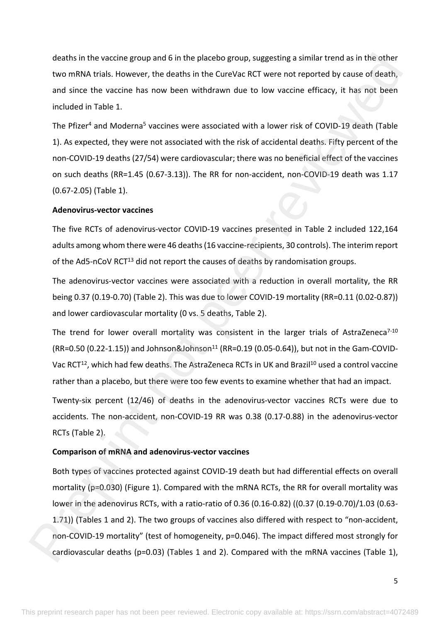deaths in the vaccine group and 6 in the placebo group, suggesting a similar trend as in the other two mRNA trials. However, the deaths in the CureVac RCT were not reported by cause of death, and since the vaccine has now been withdrawn due to low vaccine efficacy, it has not been included in Table 1.

The Pfizer<sup>4</sup> and Moderna<sup>5</sup> vaccines were associated with a lower risk of COVID-19 death (Table 1). As expected, they were not associated with the risk of accidental deaths. Fifty percent of the non-COVID-19 deaths (27/54) were cardiovascular; there was no beneficial effect of the vaccines on such deaths (RR=1.45 (0.67-3.13)). The RR for non-accident, non-COVID-19 death was 1.17 (0.67-2.05) (Table 1).

### **Adenovirus-vector vaccines**

The five RCTs of adenovirus-vector COVID-19 vaccines presented in Table 2 included 122,164 adults among whom there were 46 deaths (16 vaccine-recipients, 30 controls). The interim report of the Ad5-nCoV RCT<sup>13</sup> did not report the causes of deaths by randomisation groups.

The adenovirus-vector vaccines were associated with a reduction in overall mortality, the RR being 0.37 (0.19-0.70) (Table 2). This was due to lower COVID-19 mortality (RR=0.11 (0.02-0.87)) and lower cardiovascular mortality (0 vs. 5 deaths, Table 2).

The trend for lower overall mortality was consistent in the larger trials of AstraZeneca<sup>7-10</sup>  $(RR=0.50 (0.22-1.15))$  and Johnson&Johnson<sup>11</sup> (RR=0.19 (0.05-0.64)), but not in the Gam-COVID-Vac RCT<sup>12</sup>, which had few deaths. The AstraZeneca RCTs in UK and Brazil<sup>10</sup> used a control vaccine rather than a placebo, but there were too few events to examine whether that had an impact.

Twenty-six percent (12/46) of deaths in the adenovirus-vector vaccines RCTs were due to accidents. The non-accident, non-COVID-19 RR was 0.38 (0.17-0.88) in the adenovirus-vector RCTs (Table 2).

### **Comparison of mRNA and adenovirus-vector vaccines**

Both types of vaccines protected against COVID-19 death but had differential effects on overall mortality (p=0.030) (Figure 1). Compared with the mRNA RCTs, the RR for overall mortality was lower in the adenovirus RCTs, with a ratio-ratio of 0.36 (0.16-0.82) ((0.37 (0.19-0.70)/1.03 (0.63- 1.71)) (Tables 1 and 2). The two groups of vaccines also differed with respect to "non-accident, non-COVID-19 mortality" (test of homogeneity, p=0.046). The impact differed most strongly for cardiovascular deaths (p=0.03) (Tables 1 and 2). Compared with the mRNA vaccines (Table 1), deaths in the vaccine group and 6 in the placebo group, suggesting a similar tend as in the other<br>two mRNA (talk However, the deaths in the CureVice RCT were not reported by cause of death,<br>and since the vaction is now be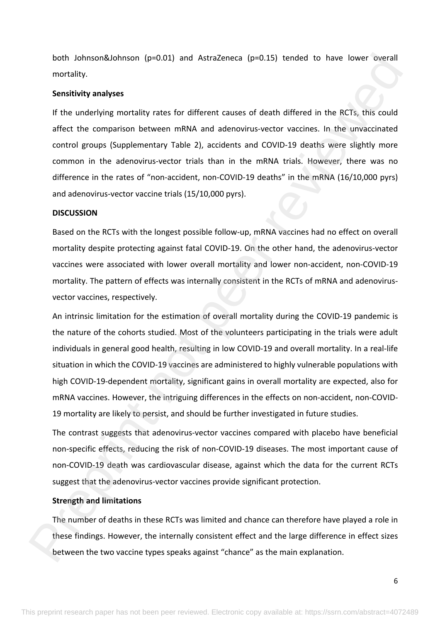both Johnson&Johnson (p=0.01) and AstraZeneca (p=0.15) tended to have lower overall mortality.

### **Sensitivity analyses**

If the underlying mortality rates for different causes of death differed in the RCTs, this could affect the comparison between mRNA and adenovirus-vector vaccines. In the unvaccinated control groups (Supplementary Table 2), accidents and COVID-19 deaths were slightly more common in the adenovirus-vector trials than in the mRNA trials. However, there was no difference in the rates of "non-accident, non-COVID-19 deaths" in the mRNA (16/10,000 pyrs) and adenovirus-vector vaccine trials (15/10,000 pyrs).

### **DISCUSSION**

Based on the RCTs with the longest possible follow-up, mRNA vaccines had no effect on overall mortality despite protecting against fatal COVID-19. On the other hand, the adenovirus-vector vaccines were associated with lower overall mortality and lower non-accident, non-COVID-19 mortality. The pattern of effects was internally consistent in the RCTs of mRNA and adenovirusvector vaccines, respectively.

An intrinsic limitation for the estimation of overall mortality during the COVID-19 pandemic is the nature of the cohorts studied. Most of the volunteers participating in the trials were adult individuals in general good health, resulting in low COVID-19 and overall mortality. In a real-life situation in which the COVID-19 vaccines are administered to highly vulnerable populations with high COVID-19-dependent mortality, significant gains in overall mortality are expected, also for mRNA vaccines. However, the intriguing differences in the effects on non-accident, non-COVID-19 mortality are likely to persist, and should be further investigated in future studies. both Johnson &Johnson (p=0.01) and AstraZeneca (p=0.15) issneds to have lower overall<br>motolity,<br>manipeses<br>of the underlying montality rates for different causes of death differed in the RCTs, this could<br>diffect the compari

The contrast suggests that adenovirus-vector vaccines compared with placebo have beneficial non-specific effects, reducing the risk of non-COVID-19 diseases. The most important cause of non-COVID-19 death was cardiovascular disease, against which the data for the current RCTs suggest that the adenovirus-vector vaccines provide significant protection.

## **Strength and limitations**

The number of deaths in these RCTs was limited and chance can therefore have played a role in these findings. However, the internally consistent effect and the large difference in effect sizes between the two vaccine types speaks against "chance" as the main explanation.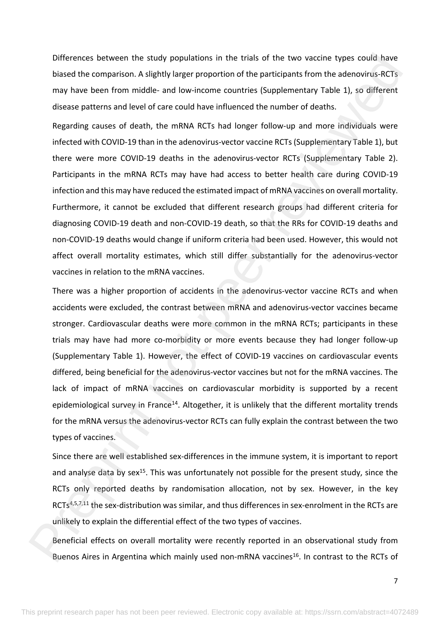Differences between the study populations in the trials of the two vaccine types could have biased the comparison. A slightly larger proportion of the participants from the adenovirus-RCTs may have been from middle- and low-income countries (Supplementary Table 1), so different disease patterns and level of care could have influenced the number of deaths.

Regarding causes of death, the mRNA RCTs had longer follow-up and more individuals were infected with COVID-19 than in the adenovirus-vector vaccine RCTs (Supplementary Table 1), but there were more COVID-19 deaths in the adenovirus-vector RCTs (Supplementary Table 2). Participants in the mRNA RCTs may have had access to better health care during COVID-19 infection and this may have reduced the estimated impact of mRNA vaccines on overall mortality. Furthermore, it cannot be excluded that different research groups had different criteria for diagnosing COVID-19 death and non-COVID-19 death, so that the RRs for COVID-19 deaths and non-COVID-19 deaths would change if uniform criteria had been used. However, this would not affect overall mortality estimates, which still differ substantially for the adenovirus-vector vaccines in relation to the mRNA vaccines. Differences between the study populations in the trials of the two societie types could have<br>biased the comparison. As lightly lorger proportion of the participans from the adenovirus-RCTs<br>may have been from middle- and lo

There was a higher proportion of accidents in the adenovirus-vector vaccine RCTs and when accidents were excluded, the contrast between mRNA and adenovirus-vector vaccines became stronger. Cardiovascular deaths were more common in the mRNA RCTs; participants in these trials may have had more co-morbidity or more events because they had longer follow-up (Supplementary Table 1). However, the effect of COVID-19 vaccines on cardiovascular events differed, being beneficial for the adenovirus-vector vaccines but not for the mRNA vaccines. The lack of impact of mRNA vaccines on cardiovascular morbidity is supported by a recent epidemiological survey in France<sup>14</sup>. Altogether, it is unlikely that the different mortality trends for the mRNA versus the adenovirus-vector RCTs can fully explain the contrast between the two types of vaccines.

Since there are well established sex-differences in the immune system, it is important to report and analyse data by sex<sup>15</sup>. This was unfortunately not possible for the present study, since the RCTs only reported deaths by randomisation allocation, not by sex. However, in the key RCTs<sup>4,5,7,11</sup> the sex-distribution was similar, and thus differences in sex-enrolment in the RCTs are unlikely to explain the differential effect of the two types of vaccines.

Beneficial effects on overall mortality were recently reported in an observational study from Buenos Aires in Argentina which mainly used non-mRNA vaccines<sup>16</sup>. In contrast to the RCTs of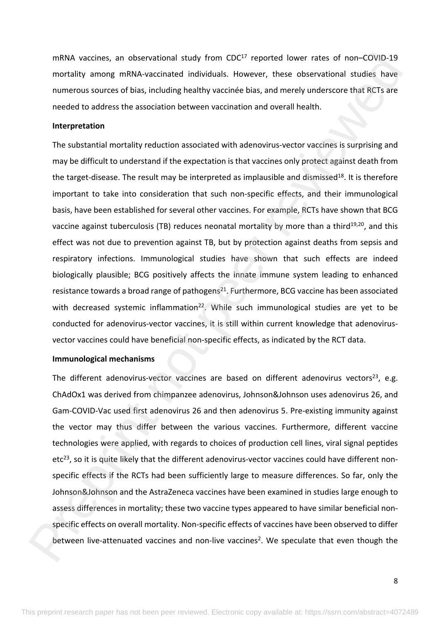mRNA vaccines, an observational study from CDC<sup>17</sup> reported lower rates of non-COVID-19 mortality among mRNA-vaccinated individuals. However, these observational studies have numerous sources of bias, including healthy vaccinée bias, and merely underscore that RCTs are needed to address the association between vaccination and overall health.

### **Interpretation**

The substantial mortality reduction associated with adenovirus-vector vaccines is surprising and may be difficult to understand if the expectation is that vaccines only protect against death from the target-disease. The result may be interpreted as implausible and dismissed<sup>18</sup>. It is therefore important to take into consideration that such non-specific effects, and their immunological basis, have been established for several other vaccines. For example, RCTs have shown that BCG vaccine against tuberculosis (TB) reduces neonatal mortality by more than a third<sup>19,20</sup>, and this effect was not due to prevention against TB, but by protection against deaths from sepsis and respiratory infections. Immunological studies have shown that such effects are indeed biologically plausible; BCG positively affects the innate immune system leading to enhanced resistance towards a broad range of pathogens $^{21}$ . Furthermore, BCG vaccine has been associated with decreased systemic inflammation<sup>22</sup>. While such immunological studies are yet to be conducted for adenovirus-vector vaccines, it is still within current knowledge that adenovirusvector vaccines could have beneficial non-specific effects, as indicated by the RCT data. mRNA vaccines, an observational study from CDC<sup>7</sup> reported lower rates of non-COVD 19<br>montatily among mRNA-vaccinated individuals. However, these observational studies have<br>numerous sources of bias, including healthly vac

### **Immunological mechanisms**

The different adenovirus-vector vaccines are based on different adenovirus vectors<sup>23</sup>, e.g. ChAdOx1 was derived from chimpanzee adenovirus, Johnson&Johnson uses adenovirus 26, and Gam-COVID-Vac used first adenovirus 26 and then adenovirus 5. Pre-existing immunity against the vector may thus differ between the various vaccines. Furthermore, different vaccine technologies were applied, with regards to choices of production cell lines, viral signal peptides  $etc<sup>23</sup>$ , so it is quite likely that the different adenovirus-vector vaccines could have different nonspecific effects if the RCTs had been sufficiently large to measure differences. So far, only the Johnson&Johnson and the AstraZeneca vaccines have been examined in studies large enough to assess differences in mortality; these two vaccine types appeared to have similar beneficial nonspecific effects on overall mortality. Non-specific effects of vaccines have been observed to differ between live-attenuated vaccines and non-live vaccines<sup>2</sup>. We speculate that even though the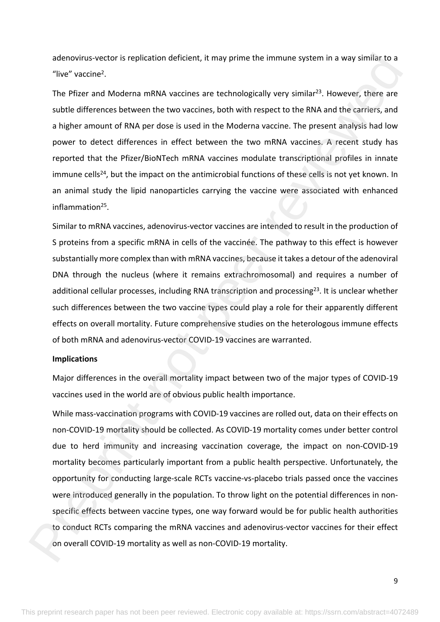adenovirus-vector is replication deficient, it may prime the immune system in a way similar to a "live" vaccine<sup>2</sup>.

The Pfizer and Moderna mRNA vaccines are technologically very similar<sup>23</sup>. However, there are subtle differences between the two vaccines, both with respect to the RNA and the carriers, and a higher amount of RNA per dose is used in the Moderna vaccine. The present analysis had low power to detect differences in effect between the two mRNA vaccines. A recent study has reported that the Pfizer/BioNTech mRNA vaccines modulate transcriptional profiles in innate immune cells<sup>24</sup>, but the impact on the antimicrobial functions of these cells is not yet known. In an animal study the lipid nanoparticles carrying the vaccine were associated with enhanced inflammation<sup>25</sup>.

Similar to mRNA vaccines, adenovirus-vector vaccines are intended to result in the production of S proteins from a specific mRNA in cells of the vaccinée. The pathway to this effect is however substantially more complex than with mRNA vaccines, because it takes a detour of the adenoviral DNA through the nucleus (where it remains extrachromosomal) and requires a number of additional cellular processes, including RNA transcription and processing<sup>23</sup>. It is unclear whether such differences between the two vaccine types could play a role for their apparently different effects on overall mortality. Future comprehensive studies on the heterologous immune effects of both mRNA and adenovirus-vector COVID-19 vaccines are warranted.

### **Implications**

Major differences in the overall mortality impact between two of the major types of COVID-19 vaccines used in the world are of obvious public health importance.

While mass-vaccination programs with COVID-19 vaccines are rolled out, data on their effects on non-COVID-19 mortality should be collected. As COVID-19 mortality comes under better control due to herd immunity and increasing vaccination coverage, the impact on non-COVID-19 mortality becomes particularly important from a public health perspective. Unfortunately, the opportunity for conducting large-scale RCTs vaccine-vs-placebo trials passed once the vaccines were introduced generally in the population. To throw light on the potential differences in nonspecific effects between vaccine types, one way forward would be for public health authorities to conduct RCTs comparing the mRNA vaccines and adenovirus-vector vaccines for their effect on overall COVID-19 mortality as well as non-COVID-19 mortality. adenovirus vector is replication deficient, it may prime the immune system in a way similiar to a<br>"he<sup>ve</sup> vaccine".<br>The <sup>pe</sup> vaccine and Moderna mRNA vaccines are technologically very similar<sup>33</sup>. However, there are<br>subtle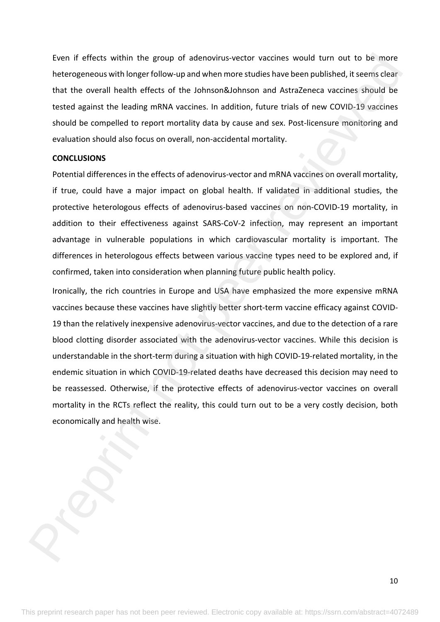Even if effects within the group of adenovirus-vector vaccines would turn out to be more heterogeneous with longer follow-up and when more studies have been published, it seems clear that the overall health effects of the Johnson&Johnson and AstraZeneca vaccines should be tested against the leading mRNA vaccines. In addition, future trials of new COVID-19 vaccines should be compelled to report mortality data by cause and sex. Post-licensure monitoring and evaluation should also focus on overall, non-accidental mortality.

### **CONCLUSIONS**

Potential differences in the effects of adenovirus-vector and mRNA vaccines on overall mortality, if true, could have a major impact on global health. If validated in additional studies, the protective heterologous effects of adenovirus-based vaccines on non-COVID-19 mortality, in addition to their effectiveness against SARS-CoV-2 infection, may represent an important advantage in vulnerable populations in which cardiovascular mortality is important. The differences in heterologous effects between various vaccine types need to be explored and, if confirmed, taken into consideration when planning future public health policy.

Ironically, the rich countries in Europe and USA have emphasized the more expensive mRNA vaccines because these vaccines have slightly better short-term vaccine efficacy against COVID-19 than the relatively inexpensive adenovirus-vector vaccines, and due to the detection of a rare blood clotting disorder associated with the adenovirus-vector vaccines. While this decision is understandable in the short-term during a situation with high COVID-19-related mortality, in the endemic situation in which COVID-19-related deaths have decreased this decision may need to be reassessed. Otherwise, if the protective effects of adenovirus-vector vaccines on overall mortality in the RCTs reflect the reality, this could turn out to be a very costly decision, both economically and health wise. Even if effects within the group of adenovirus vector vectines would turn out to be more heterogeneous with longer follow-go and when more students howe been published, it seems clear that the constrained in the constraine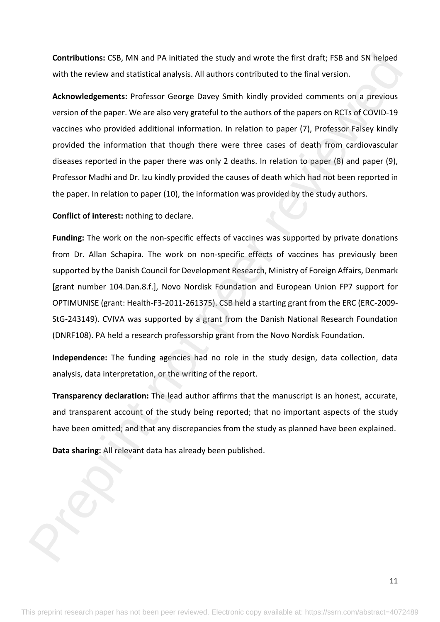**Contributions:** CSB, MN and PA initiated the study and wrote the first draft; FSB and SN helped with the review and statistical analysis. All authors contributed to the final version.

**Acknowledgements:** Professor George Davey Smith kindly provided comments on a previous version of the paper. We are also very grateful to the authors of the papers on RCTs of COVID-19 vaccines who provided additional information. In relation to paper (7), Professor Falsey kindly provided the information that though there were three cases of death from cardiovascular diseases reported in the paper there was only 2 deaths. In relation to paper (8) and paper (9), Professor Madhi and Dr. Izu kindly provided the causes of death which had not been reported in the paper. In relation to paper (10), the information was provided by the study authors. Con[t](http://www.bmj.com/content/347/bmj.f4796)ributions: CSB, MN and PA initiated the study and word: the first draft; FSB and SN hielped<br>with the review and statistical analysis. All authors contributed to the final versions.<br>Advantagements: Preference George Dav

**Conflict of interest:** nothing to declare.

**Funding:** The work on the non-specific effects of vaccines was supported by private donations from Dr. Allan Schapira. The work on non-specific effects of vaccines has previously been supported by the Danish Council for Development Research, Ministry of Foreign Affairs, Denmark [grant number 104.Dan.8.f.], Novo Nordisk Foundation and European Union FP7 support for OPTIMUNISE (grant: Health-F3-2011-261375). CSB held a starting grant from the ERC (ERC-2009- StG-243149). CVIVA was supported by a grant from the Danish National Research Foundation (DNRF108). PA held a research professorship grant from the Novo Nordisk Foundation.

**Independence:** The funding agencies had no role in the study design, data collection, data analysis, data interpretation, or the writing of the report.

**Transparency declaration:** The lead author affirms that the manuscript is an honest, accurate, and transparent account of the study being reported; that no important aspects of the study have been omitted; and that any discrepancies from the study as planned have been explained.

**Data sharing:** All relevant data has already been published.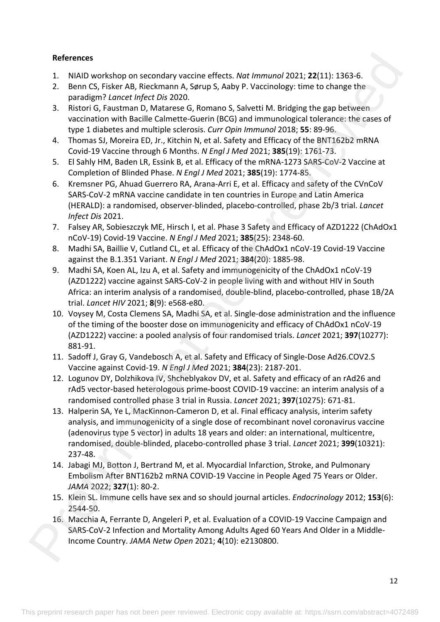# **References**

- 1. NIAID workshop on secondary vaccine effects. *Nat Immunol* 2021; **22**(11): 1363-6.
- 2. Benn CS, Fisker AB, Rieckmann A, Sørup S, Aaby P. Vaccinology: time to change the paradigm? *Lancet Infect Dis* 2020.
- 3. Ristori G, Faustman D, Matarese G, Romano S, Salvetti M. Bridging the gap between vaccination with Bacille Calmette-Guerin (BCG) and immunological tolerance: the cases of type 1 diabetes and multiple sclerosis. *Curr Opin Immunol* 2018; **55**: 89-96.
- 4. Thomas SJ, Moreira ED, Jr., Kitchin N, et al. Safety and Efficacy of the BNT162b2 mRNA Covid-19 Vaccine through 6 Months. *N Engl J Med* 2021; **385**(19): 1761-73.
- 5. El Sahly HM, Baden LR, Essink B, et al. Efficacy of the mRNA-1273 SARS-CoV-2 Vaccine at Completion of Blinded Phase. *N Engl J Med* 2021; **385**(19): 1774-85.
- 6. Kremsner PG, Ahuad Guerrero RA, Arana-Arri E, et al. Efficacy and safety of the CVnCoV SARS-CoV-2 mRNA vaccine candidate in ten countries in Europe and Latin America (HERALD): a randomised, observer-blinded, placebo-controlled, phase 2b/3 trial. *Lancet Infect Dis* 2021.
- 7. Falsey AR, Sobieszczyk ME, Hirsch I, et al. Phase 3 Safety and Efficacy of AZD1222 (ChAdOx1 nCoV-19) Covid-19 Vaccine. *N Engl J Med* 2021; **385**(25): 2348-60.
- 8. Madhi SA, Baillie V, Cutland CL, et al. Efficacy of the ChAdOx1 nCoV-19 Covid-19 Vaccine against the B.1.351 Variant. *N Engl J Med* 2021; **384**(20): 1885-98.
- 9. Madhi SA, Koen AL, Izu A, et al. Safety and immunogenicity of the ChAdOx1 nCoV-19 (AZD1222) vaccine against SARS-CoV-2 in people living with and without HIV in South Africa: an interim analysis of a randomised, double-blind, placebo-controlled, phase 1B/2A trial. *Lancet HIV* 2021; **8**(9): e568-e80.
- 10. Voysey M, Costa Clemens SA, Madhi SA, et al. Single-dose administration and the influence of the timing of the booster dose on immunogenicity and efficacy of ChAdOx1 nCoV-19 (AZD1222) vaccine: a pooled analysis of four randomised trials. *Lancet* 2021; **397**(10277): 881-91.
- 11. Sadoff J, Gray G, Vandebosch A, et al. Safety and Efficacy of Single-Dose Ad26.COV2.S Vaccine against Covid-19. *N Engl J Med* 2021; **384**(23): 2187-201.
- 12. Logunov DY, Dolzhikova IV, Shcheblyakov DV, et al. Safety and efficacy of an rAd26 and rAd5 vector-based heterologous prime-boost COVID-19 vaccine: an interim analysis of a randomised controlled phase 3 trial in Russia. *Lancet* 2021; **397**(10275): 671-81.
- 13. Halperin SA, Ye L, MacKinnon-Cameron D, et al. Final efficacy analysis, interim safety analysis, and immunogenicity of a single dose of recombinant novel coronavirus vaccine (adenovirus type 5 vector) in adults 18 years and older: an international, multicentre, randomised, double-blinded, placebo-controlled phase 3 trial. *Lancet* 2021; **399**(10321): 237-48. References<br>
1. Notif the peer reviewed and the state of motion (1201), 22(11): 1363-6.<br>
1. Notif Correlation Matters of References<br>
2. Berne Correlation Matters of References<br>
1. Berne Correlation Matters of References<br>
1
	- 14. Jabagi MJ, Botton J, Bertrand M, et al. Myocardial Infarction, Stroke, and Pulmonary Embolism After BNT162b2 mRNA COVID-19 Vaccine in People Aged 75 Years or Older. *JAMA* 2022; **327**(1): 80-2.
	- 15. Klein SL. Immune cells have sex and so should journal articles. *Endocrinology* 2012; **153**(6): 2544-50.
	- 16. Macchia A, Ferrante D, Angeleri P, et al. Evaluation of a COVID-19 Vaccine Campaign and SARS-CoV-2 Infection and Mortality Among Adults Aged 60 Years And Older in a Middle-Income Country. *JAMA Netw Open* 2021; **4**(10): e2130800.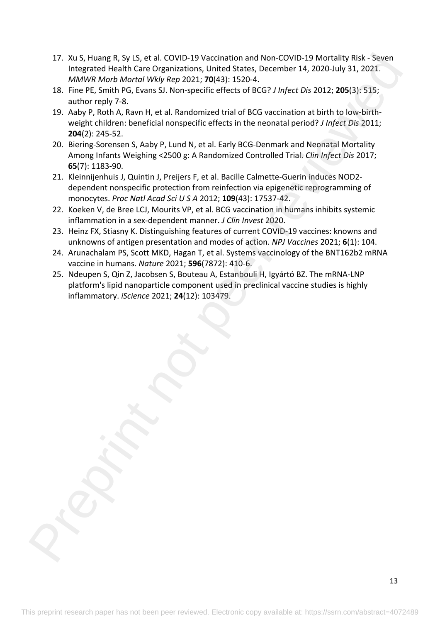- 17. Xu S, Huang R, Sy LS, et al. COVID-19 Vaccination and Non-COVID-19 Mortality Risk Seven Integrated Health Care Organizations, United States, December 14, 2020-July 31, 2021. *MMWR Morb Mortal Wkly Rep* 2021; **70**(43): 1520-4. 17. Notice in the system of Notechnical and Not COVID 19 Vectorial to the MMW Miss. Second<br>
MeMW More interest (May Her 2012): 1984-31: 1824-1824, 2001-21 More interest (May More interest)<br>
18. Fine PF, Smith P6, Evans 51
	- 18. Fine PE, Smith PG, Evans SJ. Non-specific effects of BCG? *J Infect Dis* 2012; **205**(3): 515; author reply 7-8.
	- 19. Aaby P, Roth A, Ravn H, et al. Randomized trial of BCG vaccination at birth to low-birthweight children: beneficial nonspecific effects in the neonatal period? *J Infect Dis* 2011; **204**(2): 245-52.
	- 20. Biering-Sorensen S, Aaby P, Lund N, et al. Early BCG-Denmark and Neonatal Mortality Among Infants Weighing <2500 g: A Randomized Controlled Trial. *Clin Infect Dis* 2017; **65**(7): 1183-90.
	- 21. Kleinnijenhuis J, Quintin J, Preijers F, et al. Bacille Calmette-Guerin induces NOD2 dependent nonspecific protection from reinfection via epigenetic reprogramming of monocytes. *Proc Natl Acad Sci U S A* 2012; **109**(43): 17537-42.
	- 22. Koeken V, de Bree LCJ, Mourits VP, et al. BCG vaccination in humans inhibits systemic inflammation in a sex-dependent manner. *J Clin Invest* 2020.
	- 23. Heinz FX, Stiasny K. Distinguishing features of current COVID-19 vaccines: knowns and unknowns of antigen presentation and modes of action. *NPJ Vaccines* 2021; **6**(1): 104.
	- 24. Arunachalam PS, Scott MKD, Hagan T, et al. Systems vaccinology of the BNT162b2 mRNA vaccine in humans. *Nature* 2021; **596**(7872): 410-6.
	- 25. Ndeupen S, Qin Z, Jacobsen S, Bouteau A, Estanbouli H, Igyártó BZ. The mRNA-LNP platform's lipid nanoparticle component used in preclinical vaccine studies is highly inflammatory. *iScience* 2021; **24**(12): 103479.

13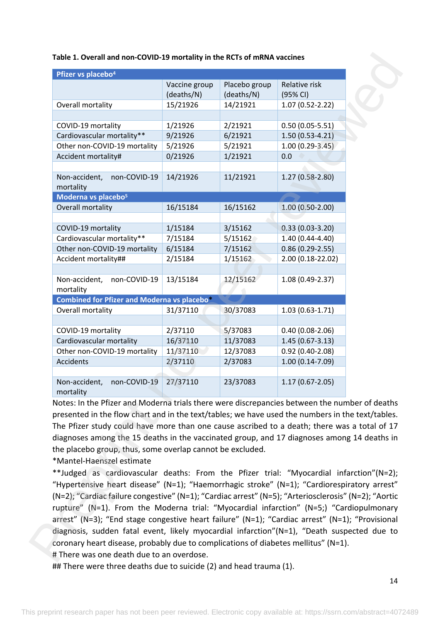| Table 1. Overall and non-COVID-19 mortality in the RCTs of mRNA vaccines |  |
|--------------------------------------------------------------------------|--|
|--------------------------------------------------------------------------|--|

| Overall mortality<br>COVID-19 mortality<br>Cardiovascular mortality**<br>Other non-COVID-19 mortality      | Vaccine group<br>(deaths/N)<br>15/21926 | Placebo group<br>(deaths/N) | Relative risk<br>(95% CI) |
|------------------------------------------------------------------------------------------------------------|-----------------------------------------|-----------------------------|---------------------------|
|                                                                                                            |                                         |                             |                           |
|                                                                                                            |                                         | 14/21921                    | $1.07(0.52 - 2.22)$       |
|                                                                                                            | 1/21926                                 | 2/21921                     | $0.50(0.05-5.51)$         |
|                                                                                                            | 9/21926                                 | 6/21921                     | $1.50(0.53-4.21)$         |
|                                                                                                            | 5/21926                                 | 5/21921                     | $1.00(0.29-3.45)$         |
| Accident mortality#                                                                                        | 0/21926                                 | 1/21921                     | 0.0                       |
| Non-accident,<br>non-COVID-19<br>mortality                                                                 | 14/21926                                | 11/21921                    | 1.27 (0.58-2.80)          |
| Moderna vs placebo <sup>5</sup>                                                                            |                                         |                             |                           |
| Overall mortality                                                                                          | 16/15184                                | 16/15162                    | $1.00(0.50-2.00)$         |
|                                                                                                            |                                         |                             |                           |
| COVID-19 mortality                                                                                         | 1/15184                                 | 3/15162                     | $0.33(0.03-3.20)$         |
| Cardiovascular mortality**                                                                                 | 7/15184                                 | 5/15162                     | $1.40(0.44 - 4.40)$       |
| Other non-COVID-19 mortality                                                                               | 6/15184                                 | 7/15162                     | $0.86(0.29-2.55)$         |
| Accident mortality##                                                                                       | 2/15184                                 | 1/15162                     | 2.00 (0.18-22.02)         |
| Non-accident,<br>non-COVID-19                                                                              | 13/15184                                | 12/15162                    | 1.08 (0.49-2.37)          |
| mortality                                                                                                  |                                         |                             |                           |
| Combined for Pfizer and Moderna vs placebo*                                                                |                                         |                             |                           |
| Overall mortality                                                                                          | 31/37110                                | 30/37083                    | $1.03(0.63-1.71)$         |
| COVID-19 mortality                                                                                         | 2/37110                                 | 5/37083                     | $0.40(0.08-2.06)$         |
| Cardiovascular mortality                                                                                   | 16/37110                                | 11/37083                    | $1.45(0.67 - 3.13)$       |
| Other non-COVID-19 mortality                                                                               | 11/37110                                | 12/37083                    | $0.92(0.40-2.08)$         |
| Accidents                                                                                                  | 2/37110                                 | 2/37083                     | $1.00(0.14-7.09)$         |
| Non-accident.<br>non-COVID-19                                                                              | 27/37110                                | 23/37083                    | $1.17(0.67 - 2.05)$       |
| mortality<br>Notes: In the Pfizer and Moderna trials there were discrepancies between the number of deaths |                                         |                             |                           |
| presented in the flow chart and in the text/tables; we have used the numbers in the text/tables.           |                                         |                             |                           |
| The Pfizer study could have more than one cause ascribed to a death; there was a total of 17               |                                         |                             |                           |
| diagnoses among the 15 deaths in the vaccinated group, and 17 diagnoses among 14 deaths in                 |                                         |                             |                           |
| the placebo group, thus, some overlap cannot be excluded.                                                  |                                         |                             |                           |
| *Mantel-Haenszel estimate                                                                                  |                                         |                             |                           |
| **Judged as cardiovascular deaths: From the Pfizer trial: "Myocardial infarction"(N=2);                    |                                         |                             |                           |
| "Hypertensive heart disease" (N=1); "Haemorrhagic stroke" (N=1); "Cardiorespiratory arrest"                |                                         |                             |                           |
| (N=2); "Cardiac failure congestive" (N=1); "Cardiac arrest" (N=5); "Arteriosclerosis" (N=2); "Aortic       |                                         |                             |                           |
| rupture" (N=1). From the Moderna trial: "Myocardial infarction" (N=5;) "Cardiopulmonary                    |                                         |                             |                           |
| arrest" (N=3); "End stage congestive heart failure" (N=1); "Cardiac arrest" (N=1); "Provisional            |                                         |                             |                           |
| diagnosis, sudden fatal event, likely myocardial infarction"(N=1), "Death suspected due to                 |                                         |                             |                           |
| coronary heart disease, probably due to complications of diabetes mellitus" ( $N=1$ ).                     |                                         |                             |                           |

## There were three deaths due to suicide (2) and head trauma (1).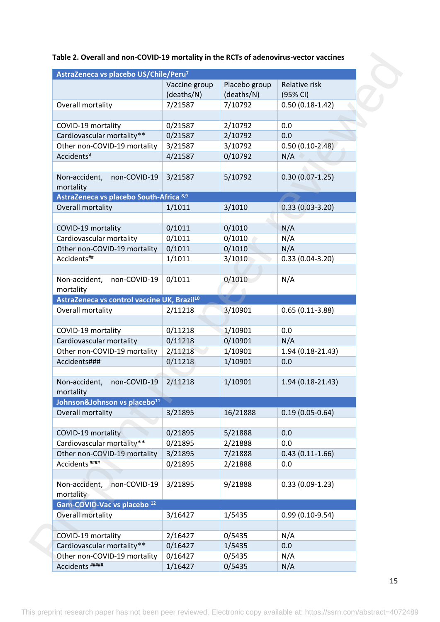| Table 2. Overall and non-COVID-19 mortality in the RCTs of adenovirus-vector vaccines |  |
|---------------------------------------------------------------------------------------|--|
|---------------------------------------------------------------------------------------|--|

| AstraZeneca vs placebo US/Chile/Peru <sup>7</sup>       |                             |                             |                           |
|---------------------------------------------------------|-----------------------------|-----------------------------|---------------------------|
|                                                         | Vaccine group<br>(deaths/N) | Placebo group<br>(deaths/N) | Relative risk<br>(95% CI) |
| Overall mortality                                       | 7/21587                     | 7/10792                     | $0.50(0.18-1.42)$         |
|                                                         |                             |                             |                           |
| COVID-19 mortality                                      | 0/21587                     | 2/10792                     | 0.0                       |
| Cardiovascular mortality**                              | 0/21587                     | 2/10792                     | 0.0                       |
| Other non-COVID-19 mortality                            | 3/21587                     | 3/10792                     | $0.50(0.10-2.48)$         |
| Accidents <sup>¤</sup>                                  | 4/21587                     | 0/10792                     | N/A                       |
|                                                         |                             |                             |                           |
| Non-accident,<br>non-COVID-19<br>mortality              | 3/21587                     | 5/10792                     | $0.30(0.07-1.25)$         |
| AstraZeneca vs placebo South-Africa 8,9                 |                             |                             |                           |
| Overall mortality                                       |                             | 3/1010                      |                           |
|                                                         | 1/1011                      |                             | $0.33(0.03-3.20)$         |
| COVID-19 mortality                                      | 0/1011                      | 0/1010                      | N/A                       |
| Cardiovascular mortality                                | 0/1011                      | 0/1010                      | N/A                       |
| Other non-COVID-19 mortality                            | 0/1011                      | 0/1010                      | N/A                       |
| Accidents##                                             | 1/1011                      | 3/1010                      | $0.33(0.04-3.20)$         |
|                                                         |                             |                             |                           |
| Non-accident,<br>non-COVID-19                           | 0/1011                      | 0/1010                      | N/A                       |
| mortality                                               |                             |                             |                           |
| AstraZeneca vs control vaccine UK, Brazil <sup>10</sup> |                             |                             |                           |
| Overall mortality                                       | 2/11218                     | 3/10901                     | $0.65(0.11-3.88)$         |
|                                                         |                             |                             |                           |
| COVID-19 mortality                                      | 0/11218                     | 1/10901                     | 0.0                       |
| Cardiovascular mortality                                | 0/11218                     | 0/10901                     | N/A                       |
| Other non-COVID-19 mortality                            | 2/11218                     | 1/10901                     | 1.94 (0.18-21.43)         |
| Accidents###                                            | 0/11218                     | 1/10901                     | 0.0                       |
| Non-accident.<br>non-COVID-19                           | 2/11218                     | 1/10901                     | 1.94 (0.18-21.43)         |
| mortality                                               |                             |                             |                           |
| Johnson&Johnson vs placebo <sup>11</sup>                |                             |                             | $0.19(0.05 - 0.64)$       |
| Overall mortality                                       | 3/21895                     | 16/21888                    |                           |
| COVID-19 mortality                                      | 0/21895                     | 5/21888                     | 0.0                       |
| Cardiovascular mortality**                              | 0/21895                     | 2/21888                     | 0.0                       |
| Other non-COVID-19 mortality                            | 3/21895                     | 7/21888                     | $0.43(0.11-1.66)$         |
| Accidents <sup>####</sup>                               | 0/21895                     | 2/21888                     | 0.0                       |
|                                                         |                             |                             |                           |
| Non-accident,<br>non-COVID-19                           | 3/21895                     | 9/21888                     | $0.33(0.09-1.23)$         |
| mortality                                               |                             |                             |                           |
| Gam-COVID-Vac vs placebo <sup>12</sup>                  |                             |                             |                           |
| Overall mortality                                       | 3/16427                     | 1/5435                      | $0.99(0.10-9.54)$         |
|                                                         |                             |                             |                           |
| COVID-19 mortality                                      | 2/16427                     | 0/5435                      | N/A                       |
| Cardiovascular mortality**                              | 0/16427                     | 1/5435                      | 0.0                       |
| Other non-COVID-19 mortality<br>Accidents #####         | 0/16427<br>1/16427          | 0/5435<br>0/5435            | N/A<br>N/A                |
|                                                         |                             |                             |                           |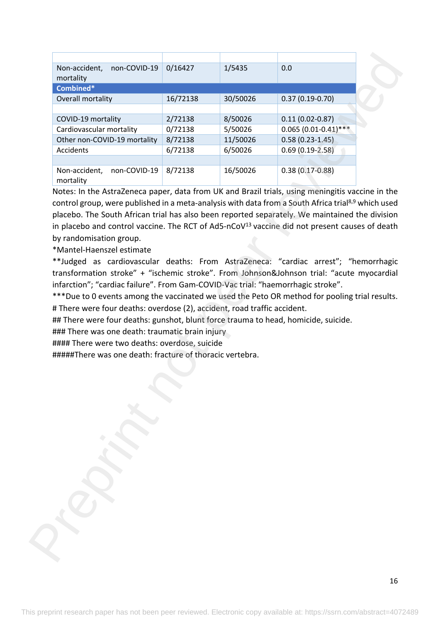| non-COVID-19<br>Non-accident,<br>mortality<br>Combined*<br>Overall mortality<br>COVID-19 mortality<br>Cardiovascular mortality<br>Other non-COVID-19 mortality<br>Accidents<br>Non-accident,<br>non-COVID-19<br>mortality<br>Notes: In the AstraZeneca paper, data from UK and Brazil trials, using meningitis vaccine in the<br>control group, were published in a meta-analysis with data from a South Africa trial <sup>8,9</sup> which used<br>placebo. The South African trial has also been reported separately. We maintained the division<br>in placebo and control vaccine. The RCT of Ad5-nCoV $13$ vaccine did not present causes of death<br>by randomisation group.<br>*Mantel-Haenszel estimate<br>**Judged as cardiovascular deaths: From AstraZeneca: "cardiac arrest"; "hemorrhagic<br>transformation stroke" + "ischemic stroke". From Johnson&Johnson trial: "acute myocardial<br>infarction"; "cardiac failure". From Gam-COVID-Vac trial: "haemorrhagic stroke".<br>***Due to 0 events among the vaccinated we used the Peto OR method for pooling trial results.<br># There were four deaths: overdose (2), accident, road traffic accident. | 0/16427<br>16/72138<br>2/72138<br>0/72138<br>8/72138<br>6/72138<br>8/72138 | 1/5435<br>30/50026<br>8/50026<br>5/50026<br>11/50026<br>6/50026<br>16/50026 | 0.0<br>$0.37(0.19-0.70)$<br>$0.11(0.02 - 0.87)$<br>$0.065(0.01-0.41)$ ***<br>$0.58(0.23-1.45)$<br>$0.69(0.19-2.58)$<br>$0.38(0.17 - 0.88)$ |
|--------------------------------------------------------------------------------------------------------------------------------------------------------------------------------------------------------------------------------------------------------------------------------------------------------------------------------------------------------------------------------------------------------------------------------------------------------------------------------------------------------------------------------------------------------------------------------------------------------------------------------------------------------------------------------------------------------------------------------------------------------------------------------------------------------------------------------------------------------------------------------------------------------------------------------------------------------------------------------------------------------------------------------------------------------------------------------------------------------------------------------------------------------------------|----------------------------------------------------------------------------|-----------------------------------------------------------------------------|--------------------------------------------------------------------------------------------------------------------------------------------|
|                                                                                                                                                                                                                                                                                                                                                                                                                                                                                                                                                                                                                                                                                                                                                                                                                                                                                                                                                                                                                                                                                                                                                                    |                                                                            |                                                                             |                                                                                                                                            |
|                                                                                                                                                                                                                                                                                                                                                                                                                                                                                                                                                                                                                                                                                                                                                                                                                                                                                                                                                                                                                                                                                                                                                                    |                                                                            |                                                                             |                                                                                                                                            |
|                                                                                                                                                                                                                                                                                                                                                                                                                                                                                                                                                                                                                                                                                                                                                                                                                                                                                                                                                                                                                                                                                                                                                                    |                                                                            |                                                                             |                                                                                                                                            |
|                                                                                                                                                                                                                                                                                                                                                                                                                                                                                                                                                                                                                                                                                                                                                                                                                                                                                                                                                                                                                                                                                                                                                                    |                                                                            |                                                                             |                                                                                                                                            |
|                                                                                                                                                                                                                                                                                                                                                                                                                                                                                                                                                                                                                                                                                                                                                                                                                                                                                                                                                                                                                                                                                                                                                                    |                                                                            |                                                                             |                                                                                                                                            |
|                                                                                                                                                                                                                                                                                                                                                                                                                                                                                                                                                                                                                                                                                                                                                                                                                                                                                                                                                                                                                                                                                                                                                                    |                                                                            |                                                                             |                                                                                                                                            |
|                                                                                                                                                                                                                                                                                                                                                                                                                                                                                                                                                                                                                                                                                                                                                                                                                                                                                                                                                                                                                                                                                                                                                                    |                                                                            |                                                                             |                                                                                                                                            |
|                                                                                                                                                                                                                                                                                                                                                                                                                                                                                                                                                                                                                                                                                                                                                                                                                                                                                                                                                                                                                                                                                                                                                                    |                                                                            |                                                                             |                                                                                                                                            |
|                                                                                                                                                                                                                                                                                                                                                                                                                                                                                                                                                                                                                                                                                                                                                                                                                                                                                                                                                                                                                                                                                                                                                                    |                                                                            |                                                                             |                                                                                                                                            |
| ## There were four deaths: gunshot, blunt force trauma to head, homicide, suicide.                                                                                                                                                                                                                                                                                                                                                                                                                                                                                                                                                                                                                                                                                                                                                                                                                                                                                                                                                                                                                                                                                 |                                                                            |                                                                             |                                                                                                                                            |
| ### There was one death: traumatic brain injury                                                                                                                                                                                                                                                                                                                                                                                                                                                                                                                                                                                                                                                                                                                                                                                                                                                                                                                                                                                                                                                                                                                    |                                                                            |                                                                             |                                                                                                                                            |
| #### There were two deaths: overdose, suicide                                                                                                                                                                                                                                                                                                                                                                                                                                                                                                                                                                                                                                                                                                                                                                                                                                                                                                                                                                                                                                                                                                                      |                                                                            |                                                                             |                                                                                                                                            |
| #####There was one death: fracture of thoracic vertebra.                                                                                                                                                                                                                                                                                                                                                                                                                                                                                                                                                                                                                                                                                                                                                                                                                                                                                                                                                                                                                                                                                                           |                                                                            |                                                                             |                                                                                                                                            |
|                                                                                                                                                                                                                                                                                                                                                                                                                                                                                                                                                                                                                                                                                                                                                                                                                                                                                                                                                                                                                                                                                                                                                                    |                                                                            |                                                                             |                                                                                                                                            |
|                                                                                                                                                                                                                                                                                                                                                                                                                                                                                                                                                                                                                                                                                                                                                                                                                                                                                                                                                                                                                                                                                                                                                                    |                                                                            |                                                                             |                                                                                                                                            |
|                                                                                                                                                                                                                                                                                                                                                                                                                                                                                                                                                                                                                                                                                                                                                                                                                                                                                                                                                                                                                                                                                                                                                                    |                                                                            |                                                                             |                                                                                                                                            |
|                                                                                                                                                                                                                                                                                                                                                                                                                                                                                                                                                                                                                                                                                                                                                                                                                                                                                                                                                                                                                                                                                                                                                                    |                                                                            |                                                                             |                                                                                                                                            |
|                                                                                                                                                                                                                                                                                                                                                                                                                                                                                                                                                                                                                                                                                                                                                                                                                                                                                                                                                                                                                                                                                                                                                                    |                                                                            |                                                                             |                                                                                                                                            |
|                                                                                                                                                                                                                                                                                                                                                                                                                                                                                                                                                                                                                                                                                                                                                                                                                                                                                                                                                                                                                                                                                                                                                                    |                                                                            |                                                                             |                                                                                                                                            |
|                                                                                                                                                                                                                                                                                                                                                                                                                                                                                                                                                                                                                                                                                                                                                                                                                                                                                                                                                                                                                                                                                                                                                                    |                                                                            |                                                                             |                                                                                                                                            |
|                                                                                                                                                                                                                                                                                                                                                                                                                                                                                                                                                                                                                                                                                                                                                                                                                                                                                                                                                                                                                                                                                                                                                                    |                                                                            |                                                                             |                                                                                                                                            |
|                                                                                                                                                                                                                                                                                                                                                                                                                                                                                                                                                                                                                                                                                                                                                                                                                                                                                                                                                                                                                                                                                                                                                                    |                                                                            |                                                                             |                                                                                                                                            |
|                                                                                                                                                                                                                                                                                                                                                                                                                                                                                                                                                                                                                                                                                                                                                                                                                                                                                                                                                                                                                                                                                                                                                                    |                                                                            |                                                                             |                                                                                                                                            |
|                                                                                                                                                                                                                                                                                                                                                                                                                                                                                                                                                                                                                                                                                                                                                                                                                                                                                                                                                                                                                                                                                                                                                                    |                                                                            |                                                                             |                                                                                                                                            |
|                                                                                                                                                                                                                                                                                                                                                                                                                                                                                                                                                                                                                                                                                                                                                                                                                                                                                                                                                                                                                                                                                                                                                                    |                                                                            |                                                                             |                                                                                                                                            |
|                                                                                                                                                                                                                                                                                                                                                                                                                                                                                                                                                                                                                                                                                                                                                                                                                                                                                                                                                                                                                                                                                                                                                                    |                                                                            |                                                                             |                                                                                                                                            |
|                                                                                                                                                                                                                                                                                                                                                                                                                                                                                                                                                                                                                                                                                                                                                                                                                                                                                                                                                                                                                                                                                                                                                                    |                                                                            |                                                                             |                                                                                                                                            |
|                                                                                                                                                                                                                                                                                                                                                                                                                                                                                                                                                                                                                                                                                                                                                                                                                                                                                                                                                                                                                                                                                                                                                                    |                                                                            |                                                                             |                                                                                                                                            |
|                                                                                                                                                                                                                                                                                                                                                                                                                                                                                                                                                                                                                                                                                                                                                                                                                                                                                                                                                                                                                                                                                                                                                                    |                                                                            |                                                                             |                                                                                                                                            |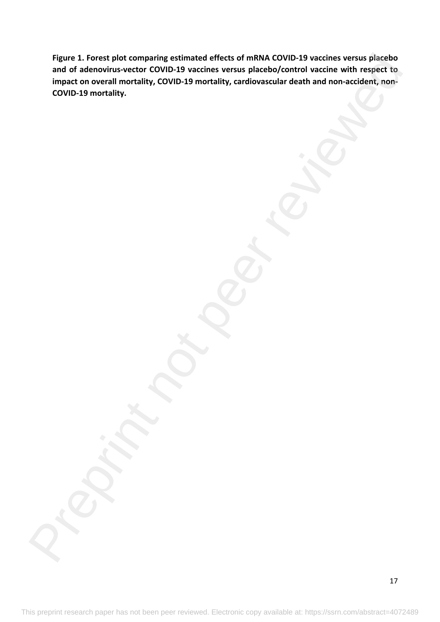**Figure 1. Forest plot comparing estimated effects of mRNA COVID-19 vaccines versus placebo and of adenovirus-vector COVID-19 vaccines versus placebo/control vaccine with respect to impact on overall mortality, COVID-19 mortality, cardiovascular death and non-accident, non-COVID-19 mortality.** Figure 1. Forest plot comparing estimated effects of math AGOVID-19 vaccines versus placebo/<br>and of adenovirus-vector COVID-19 wacches versus placebo/control vacche with respect to<br>impact on overall mortality, COVID-19 mor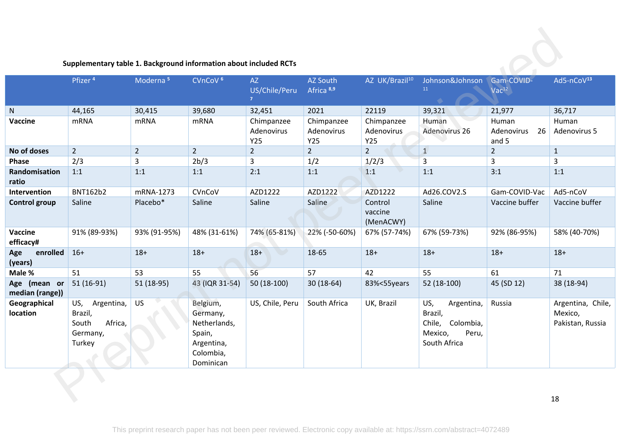|                                 | Supplementary table 1. Background information about included RCTs      |                      |                                                                                        |                                       |                                 |                                 |                                                                                         |                                    |                                                  |
|---------------------------------|------------------------------------------------------------------------|----------------------|----------------------------------------------------------------------------------------|---------------------------------------|---------------------------------|---------------------------------|-----------------------------------------------------------------------------------------|------------------------------------|--------------------------------------------------|
|                                 | Pfizer <sup>4</sup>                                                    | Moderna <sup>5</sup> | CVnCoV <sup>6</sup>                                                                    | AZ<br>US/Chile/Peru<br>7 <sup>1</sup> | AZ South<br>Africa 8,9          | AZ UK/Brazil <sup>10</sup>      | Johnson&Johnson<br>$11\,$                                                               | Gam-COVID-<br>Vac <sup>12</sup>    | Ad5-nCoV <sup>13</sup>                           |
| ${\sf N}$                       | 44,165                                                                 | 30,415               | 39,680                                                                                 | 32,451                                | 2021                            | 22119                           | 39,321                                                                                  | 21,977                             | 36,717                                           |
| Vaccine                         | <b>mRNA</b>                                                            | <b>mRNA</b>          | <b>mRNA</b>                                                                            | Chimpanzee<br>Adenovirus<br>Y25       | Chimpanzee<br>Adenovirus<br>Y25 | Chimpanzee<br>Adenovirus<br>Y25 | Human<br>Adenovirus 26                                                                  | Human<br>Adenovirus<br>26<br>and 5 | Human<br>Adenovirus 5                            |
| No of doses                     | $2^{1}$                                                                | $2^{\circ}$          | $\overline{2}$                                                                         | $2^{1}$                               | $2^{\circ}$                     | $2^{\circ}$                     | $\mathbf{1}$                                                                            | $\overline{2}$                     | $\mathbf{1}$                                     |
| Phase                           | 2/3                                                                    | $\overline{3}$       | 2b/3                                                                                   | 3                                     | 1/2                             | 1/2/3                           | $\overline{3}$                                                                          | $\overline{3}$                     | 3                                                |
| Randomisation<br>ratio          | 1:1                                                                    | 1:1                  | 1:1                                                                                    | 2:1                                   | 1:1                             | 1:1                             | 1:1                                                                                     | 3:1                                | 1:1                                              |
| Intervention                    | <b>BNT162b2</b>                                                        | mRNA-1273            | CVnCoV                                                                                 | AZD1222                               | AZD1222                         | AZD1222                         | Ad26.COV2.S                                                                             | Gam-COVID-Vac                      | Ad5-nCoV                                         |
| <b>Control group</b>            | Saline                                                                 | Placebo*             | Saline                                                                                 | Saline                                | Saline                          | Control<br>vaccine<br>(MenACWY) | Saline                                                                                  | Vaccine buffer                     | Vaccine buffer                                   |
| Vaccine<br>efficacy#            | 91% (89-93%)                                                           | 93% (91-95%)         | 48% (31-61%)                                                                           | 74% (65-81%)                          | 22% (-50-60%)                   | 67% (57-74%)                    | 67% (59-73%)                                                                            | 92% (86-95%)                       | 58% (40-70%)                                     |
| enrolled<br>Age<br>(years)      | $16+$                                                                  | $18+$                | $18+$                                                                                  | $18+$<br>$\rightarrow$                | 18-65                           | $18+$                           | $18+$                                                                                   | $18+$                              | $18+$                                            |
| Male %                          | 51                                                                     | 53                   | 55                                                                                     | 56                                    | 57                              | 42                              | 55                                                                                      | 61                                 | 71                                               |
| Age (mean or<br>median (range)) | $51(16-91)$                                                            | 51 (18-95)           | 43 (IQR 31-54)                                                                         | 50 (18-100)                           | $30(18-64)$                     | 83%<55years                     | 52 (18-100)                                                                             | 45 (SD 12)                         | 38 (18-94)                                       |
| Geographical<br>location        | Argentina,<br>US,<br>Brazil,<br>Africa,<br>South<br>Germany,<br>Turkey | <b>US</b>            | Belgium,<br>Germany,<br>Netherlands,<br>Spain,<br>Argentina,<br>Colombia,<br>Dominican | US, Chile, Peru                       | South Africa                    | UK, Brazil                      | US,<br>Argentina,<br>Brazil,<br>Chile,<br>Colombia,<br>Mexico,<br>Peru,<br>South Africa | Russia                             | Argentina, Chile,<br>Mexico,<br>Pakistan, Russia |
|                                 |                                                                        |                      |                                                                                        |                                       |                                 |                                 |                                                                                         |                                    | 18                                               |

### **Supplementary table 1. Background information about included RCTs**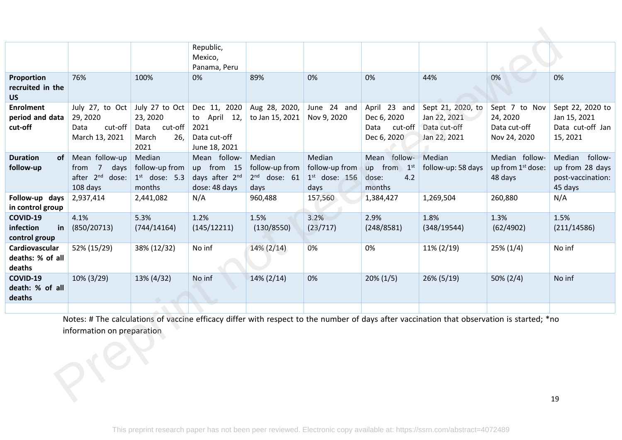|                                                     |                                                                         |                                                                       | Republic,<br>Mexico,<br>Panama, Peru                                  |                                                    |                                                     |                                                               |                                                                                                                                            |                                                           |                                                                   |
|-----------------------------------------------------|-------------------------------------------------------------------------|-----------------------------------------------------------------------|-----------------------------------------------------------------------|----------------------------------------------------|-----------------------------------------------------|---------------------------------------------------------------|--------------------------------------------------------------------------------------------------------------------------------------------|-----------------------------------------------------------|-------------------------------------------------------------------|
| Proportion<br>recruited in the<br><b>US</b>         | 76%                                                                     | 100%                                                                  | 0%                                                                    | 89%                                                | 0%                                                  | 0%                                                            | 44%                                                                                                                                        | 0%                                                        | 0%                                                                |
| <b>Enrolment</b><br>period and data<br>cut-off      | July 27, to Oct<br>29, 2020<br>cut-off<br>Data<br>March 13, 2021        | July 27 to Oct<br>23, 2020<br>cut-off<br>Data<br>March<br>26,<br>2021 | Dec 11, 2020<br>to April 12,<br>2021<br>Data cut-off<br>June 18, 2021 | Aug 28, 2020,<br>to Jan 15, 2021                   | June 24 and<br>Nov 9, 2020                          | April 23 and<br>Dec 6, 2020<br>Data<br>cut-off<br>Dec 6, 2020 | Sept 21, 2020, to<br>Jan 22, 2021<br>Data cut-off<br>Jan 22, 2021                                                                          | Sept 7 to Nov<br>24, 2020<br>Data cut-off<br>Nov 24, 2020 | Sept 22, 2020 to<br>Jan 15, 2021<br>Data cut-off Jan<br>15, 2021  |
| <b>Duration</b><br>follow-up                        | of Mean follow-up<br>from 7<br>days<br>after $2^{nd}$ dose:<br>108 days | Median<br>follow-up from<br>$1st$ dose: 5.3<br>months                 | Mean follow-<br>up from 15<br>days after 2nd<br>dose: 48 days         | Median<br>follow-up from<br>$2nd$ dose: 61<br>days | Median<br>follow-up from<br>$1st$ dose: 156<br>days | Mean follow-<br>up from 1st<br>4.2<br>dose:<br>months         | Median<br>follow-up: 58 days                                                                                                               | Median follow-<br>up from 1st dose:<br>48 days            | Median follow-<br>up from 28 days<br>post-vaccination:<br>45 days |
| Follow-up days<br>in control group                  | 2,937,414                                                               | 2,441,082                                                             | N/A                                                                   | 960,488                                            | 157,560                                             | 1,384,427                                                     | 1,269,504                                                                                                                                  | 260,880                                                   | N/A                                                               |
| <b>COVID-19</b><br>infection<br>in<br>control group | 4.1%<br>(850/20713)                                                     | 5.3%<br>(744/14164)                                                   | 1.2%<br>(145/12211)                                                   | 1.5%<br>(130/8550)                                 | 3.2%<br>(23/717)                                    | 2.9%<br>(248/8581)                                            | 1.8%<br>(348/19544)                                                                                                                        | 1.3%<br>(62/4902)                                         | 1.5%<br>(211/14586)                                               |
| Cardiovascular<br>deaths: % of all<br>deaths        | 52% (15/29)                                                             | 38% (12/32)                                                           | No inf                                                                | $14\% (2/14)$                                      | 0%                                                  | 0%                                                            | $11\% (2/19)$                                                                                                                              | $25\% (1/4)$                                              | No inf                                                            |
| <b>COVID-19</b><br>death: % of all<br>deaths        | 10% (3/29)                                                              | 13% (4/32)                                                            | No inf                                                                | $14\% (2/14)$                                      | 0%                                                  | $20\% (1/5)$                                                  | $26\% (5/19)$                                                                                                                              | $50\% (2/4)$                                              | No inf                                                            |
|                                                     |                                                                         |                                                                       |                                                                       |                                                    |                                                     |                                                               | Notes: # The calculations of vaccine efficacy differ with respect to the number of days after vaccination that observation is started; *no |                                                           |                                                                   |
|                                                     | information on preparation                                              |                                                                       |                                                                       |                                                    |                                                     |                                                               |                                                                                                                                            |                                                           |                                                                   |
|                                                     |                                                                         |                                                                       |                                                                       |                                                    |                                                     |                                                               |                                                                                                                                            |                                                           | 19                                                                |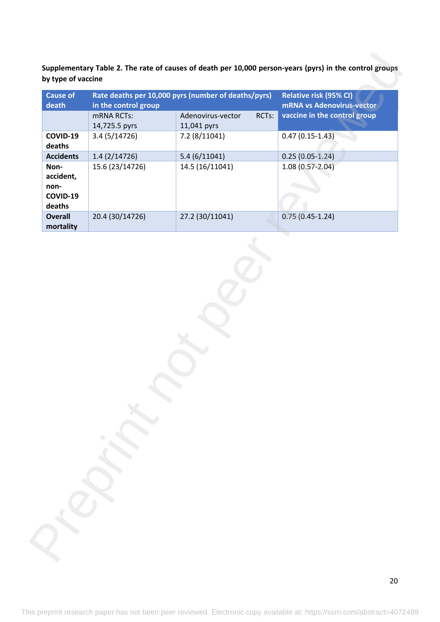| <b>Cause of</b>             |                      | Rate deaths per 10,000 pyrs (number of deaths/pyrs) | Relative risk (95% CI)       |
|-----------------------------|----------------------|-----------------------------------------------------|------------------------------|
| death                       | in the control group |                                                     | mRNA vs Adenovirus-vector    |
|                             | mRNA RCTs:           | Adenovirus-vector<br>RCTs:                          | vaccine in the control group |
|                             | 14,725.5 pyrs        | 11,041 pyrs                                         |                              |
| COVID-19<br>deaths          | 3.4 (5/14726)        | 7.2 (8/11041)                                       | $0.47(0.15-1.43)$            |
| <b>Accidents</b>            | 1.4(2/14726)         | 5.4(6/11041)                                        | $0.25(0.05-1.24)$            |
| Non-                        | 15.6 (23/14726)      | 14.5 (16/11041)                                     | $1.08(0.57 - 2.04)$          |
| accident,                   |                      |                                                     |                              |
| non-                        |                      |                                                     |                              |
| COVID-19                    |                      |                                                     |                              |
| deaths                      |                      |                                                     |                              |
| <b>Overall</b><br>mortality | 20.4 (30/14726)      | 27.2 (30/11041)                                     | $0.75(0.45-1.24)$            |
|                             |                      |                                                     |                              |
|                             |                      |                                                     |                              |

20